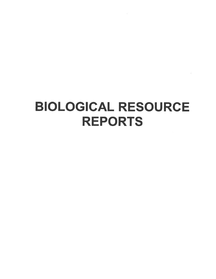# **BIOLOGICAL RESOURCE REPORTS**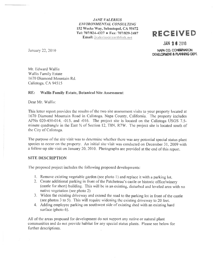**JANE VALERIUS ENVIRONMENTAL CONSULTING** 152 Weeks Way, Sebastopol, CA 95472 Tel: 707/824-4327 + Fax: 707/829-2487 Email: jvalerius@earthlink.net

#### January 22, 2010

## **RECEIVED**

#### **JAN 26 2010**

NAPA CO. CONSERVATION DEVELOPMENT & PLANNING DEPT.

Mr. Edward Wallis **Wallis Family Estate** 1670 Diamond Mountain Rd. Calistoga, CA 94515

#### RE: **Wallis Family Estate, Botanical Site Assessment**

Dear Mr. Wallis:

This letter report provides the results of the two site assessment visits to your property located at 1670 Diamond Mountain Road in Calistoga, Napa County, California. The property includes APNs 020-450-014, -015, and -016. The project site is located on the Calistopa USGS 7.5minute quadrangle in the East 1/2 of Section 12, T8N, R7W. The project site is located south of the City of Calistoga.

The purpose of the site visit was to determine whether there was any potential special status plant species to occur on the property. An initial site visit was conducted on December 31, 2009 with a follow-up site visit on January 20, 2010. Photographs are provided at the end of this report.

#### **SITE DESCRIPTION**

The proposed project includes the following proposed developments:

- 1. Remove existing vegetable garden (see photo 1) and replace it with a parking lot.
- 2. Create additional parking in front of the Patcheteau's castle or historic office/winery (castle for short) building. This will be in an existing, disturbed and leveled area with no native vegetation (see photo 2)
- 3. Widen the existing driveway and extend the road to the parking lot in front of the castle (see photos 3 to 5). This will require widening the existing driveway to 20 feet.
- 4. Adding employee parking on southwest side of existing shed with an existing hard surface (photo 6).

All of the areas proposed for development do not support any native or natural plant communities and do not provide habitat for any special status plants. Please see below for further descriptions.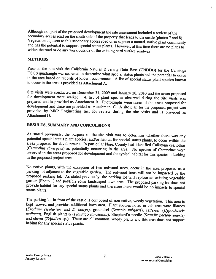Although not part of the proposed development the site assessment included a review of the secondary access road on the south side of the property that leads to the castle (photos 7 and 8). Vegetation adjacent to this seco

#### METHODS

Prior to the site visit the California Natural Diversity Data Base (CNDDB) for the Calistoga USGS quadrangle was searched to determine what special status plants had the potential to occur in the area based on records of k

Site visits were conducted on December 31, 2009 and January 20, 2010 and the areas proposed<br>for development were walked. A list of plant species observed during the site visits was<br>prepared and is provided as Attachment B.

#### RESULTS, SUMMARY AND CONCULSIONS

As stated previously, the purpose of the site visit was to determine whether there was any potential special status plant species, and/or habitat for special status plants, to occur within the areas proposed for developmen (Ceanothus divergens) as potentially occurring in the area. No species of Ceanothus were observed in the areas proposed for development and the typical habitat for this species is lacking in the proposed project area.

No native plants, with the exception of two redwood trees, occur in the area proposed as a parking lot adjacent to the vegetable garden. The redwood trees will not be impacted by the proposed parking lot. As stated previou

The parking lot in front of the castle is composed of non-native, weedy vegetation. This area is kept mowed and provides additional lawn area. Plant species noted in this area were filarees (*Erodium cicutarium* and *E. b* radicata), English plantain (Plantago lanceolata), Shepherd's needle (Scandix pecten-veneris) and clover (Trifolium sp.). These are all common, weedy plants and this area does not support habitat for any special status pla ï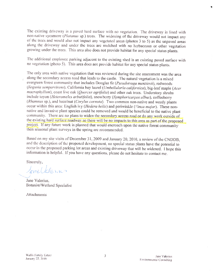The existing driveway is a paved hard surface with no vegetation. The driveway is lined with non-native sycamore (Platanus sp.) trees. The widening of the driveway would not impact any of the trees and would also not impact any vegetated areas (photos 3 to 5) as the unpaved areas along the driveway and under the trees are mulched with no herbaceous or other vegetation growing under the trees. This area also does not provide habitat for any special status plants.

The additional employee parking adjacent to the existing shed is an existing paved surface with no vegetation (photo 5). This area does not provide habitat for any special status plants.

The only area with native vegetation that was reviewed during the site assessment was the area along the secondary access road that leads to the castle. The natural vegetation is a mixed evergreen forest community that includes Douglas fir (Pseudotsuga menziesii), redwoods (Sequoia sempervirens). California bay laurel (Umbellularia californica), big-leaf maple (Acer macrophyllum), coast live oak (Quercus agrifolia) and other oak trees. Understory shrubs include toyon (Heteromeles arbutifolia), snowberry (Symphoricarpos albus), coffeeberry (Rhamnus sp.), and hazelnut (Corylus cornuta). Two common non-native and weedy plants. occur within this area: English ivy (Hedera helix) and periwinkle (Vinca major). These nonnative and invasive plant species could be removed and would be beneficial to the native plant community. There are no plans to widen the secondary access road or do any work outside of the existing hard surface roadway so there will be no impacts to this area as part of the proposed project. If any future work is planned that would encroach upon the native forest community then seasonal plant surveys in the spring are recommended.

Based on my site visits of December 31, 2009 and January 20, 2010, a review of the CNDDB, and the description of the proposed development, no special status plants have the potential to occur in the proposed parking lot areas and existing driveway that will be widened. I hope this information is helpful. If you have any questions, please do not hesitate to contact me.

Sincerely,

Janetalenas

Jane Valerius. **Botanist/Wetland Specialist** 

**Attachments**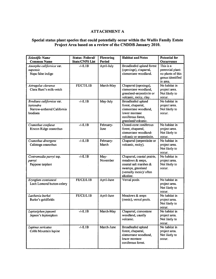#### ATTACHMENT A

#### Special status plant species that could potentially occur within the Wallis Family Estate Project Area based on <sup>a</sup> review of the CNDDB January 2010.

| <b>Scientific Name</b><br><b>Common Name</b>                                     | <b>Status: Federal/</b><br><b>State/CNPS List</b> | <b>Flowering</b><br>Period | <b>Habitat and Notes</b>                                                                                                               | <b>Potential for</b><br>Occurrence                                                 |
|----------------------------------------------------------------------------------|---------------------------------------------------|----------------------------|----------------------------------------------------------------------------------------------------------------------------------------|------------------------------------------------------------------------------------|
| Amorpha californica var.<br>napensis<br>Napa false indigo                        | $-/-/LL1B$                                        | April-July                 | Broadleafed upland forest<br>(openings), chaparral,<br>cismontane woodland.                                                            | This is a<br>perennial plant-<br>no plants of this<br>genus identified<br>in area. |
| Astragalus claranus<br>Clara Hunt's milk-vetch                                   | FE/CT/L1B                                         | March-May                  | Chaparral (openings),<br>cismontane woodland,<br>grassland-serpentinite or<br>volcanic, rocky, clay.                                   | No habitat in<br>project area.<br>Not likely to<br>occur.                          |
| Brodiaea californica var.<br>leptandra<br>Narrow-anthered California<br>brodiaea | $-/-/LL$ 1B                                       | May-July                   | Broadleafed upland<br>forest, chaparral,<br>cismontane woodland,<br>lower montane<br>coniferous forest,<br>grassland/volcanic.         | No habitat in<br>project area.<br>Not likely to<br>occur.                          |
| Ceanothus confusus<br>Rincon Ridge ceanothus                                     | $-/-/L1B$                                         | February-<br>June          | Closed-cone coniferous<br>forest, chaparral,<br>cismontane woodland-<br>volcanic or serpentinite.                                      | No habitat in<br>project area.<br>Not likely to<br>occur.                          |
| Ceanothus divergens<br>Calistoga ceanothus                                       | $-/-/LL1B$                                        | February-<br>March         | Chaparral (serpentinite or<br>volcanic, rocky).                                                                                        | No habitat in<br>project area.<br>Not likely to<br>occur.                          |
| Centromadia parryi ssp.<br>parryi<br>Pappose tarplant                            | $-/-/L1B$                                         | May-<br>November           | Chaparral, coastal prairie,<br>meadows & seeps,<br>coastal salt marshes &<br>swamps, grassland<br>(vernally mesic)/ often<br>alkaline. | No habitat in<br>project area.<br>Not likely to<br>occur.                          |
| Eryngium constancei<br>Loch Lomond button-celery                                 | FE/CE/L1B                                         | April-June                 | Vernal pools.                                                                                                                          | No habitat in<br>project area.<br>Not likely to<br>occur.                          |
| Lasthenia burkei<br>Burke's goldfields                                           | FE/CE/L1B                                         | April-June                 | Meadows & seeps<br>(mesic), vernal pools.                                                                                              | No habitat in<br>project area.<br>Not likely to<br>occur.                          |
| Leptosiphon jepsonii<br>Jepson's leptosiphon                                     | $-/-/L1B$                                         | March-May                  | Chaparral, cismontane<br>woodland, usually<br>volcanic.                                                                                | No habitat in<br>project area.<br>Not likely to<br>occur.                          |
| Lupinus sericatus<br>Cobb Mountain lupine                                        | $-/-/L1B$                                         | March-June                 | <b>Broadleafed upland</b><br>forest, chaparral,<br>cismontane woodland,<br>lower montane<br>coniferous forest.                         | No habitat in<br>project area.<br>Not likely to<br>occur.                          |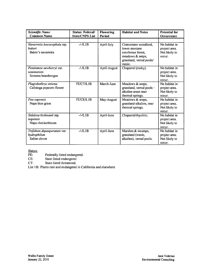| <b>Scientific Name</b><br><b>Common Name</b>                 | <b>Status: Federal/</b><br><b>State/CNPS List</b> | <b>Flowering</b><br><b>Period</b> | <b>Habitat and Notes</b>                                                                                              | <b>Potential for</b><br>Occurrence                        |
|--------------------------------------------------------------|---------------------------------------------------|-----------------------------------|-----------------------------------------------------------------------------------------------------------------------|-----------------------------------------------------------|
|                                                              |                                                   |                                   |                                                                                                                       |                                                           |
| Navarretia leucocephala ssp.<br>bakeri<br>Baker's navarretia | $-/-/LL1B$                                        | April-July                        | Cismontane woodland,<br>lower montane<br>coniferous forest.<br>meadows & seeps,<br>grassland, vernal pools/<br>mesic. | No habitat in<br>project area.<br>Not likely to<br>occur. |
| Penstemon newberryi var.<br>sonomensis<br>Sonoma beardtongue | $-/-/LL1B$                                        | April-August                      | Chaparral (rocky).                                                                                                    | No habitat in<br>project area.<br>Not likely to<br>occur. |
| Plagiobothrys strictus<br>Calistoga popcorn-flower           | FE/CT/L1B                                         | March-June                        | Meadows & seeps,<br>grassland, vernal pools-<br>alkaline areas near<br>thermal springs.                               | No habitat in<br>project area.<br>Not likely to<br>occur. |
| Poa napensis<br>Napa blue grass                              | FE/CE/L1B                                         | May-August                        | Meadows & seeps,<br>grassland-alkaline, near<br>thermal springs.                                                      | No habitat in<br>project area.<br>Not likely to<br>occur. |
| Sidalcea hickmanii ssp.<br>napensis<br>Napa checkerbloom     | $-/-/L1B$                                         | April-June                        | Chaparral/rhyolitic.                                                                                                  | No habitat in<br>project area.<br>Not likely to<br>occur. |
| Trifolium depauperatum var.<br>hydrophilum<br>Saline clover  | $-/-/LL1B$                                        | April-June                        | Marshes & swamps,<br>grassland (mesic,<br>alkaline), vernal pools.                                                    | No habitat in<br>project area.<br>Not likely to<br>occur. |

Status:<br>FE: FE: Federally listed endangered.

CE: State listed endangered

CT: State listed threatened.

List 1B: Plants rare and endangered in California and elsewhere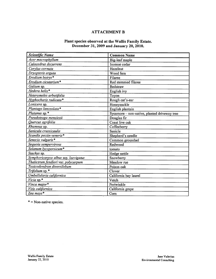#### ATTACHMENT B

#### Plant species observed at the Wallis Family Estate. December 31, 2009 and January 20, 2010.

| <b>Scientific Name</b>               | <b>Common Name</b>                           |  |  |
|--------------------------------------|----------------------------------------------|--|--|
| Acer macrophyllum                    | Big-leaf maple                               |  |  |
| Calocedrus decurrens                 | Incense cedar                                |  |  |
| Corylus cornuta                      | Hazelnut                                     |  |  |
| Dryopteris arguta                    | Wood fern                                    |  |  |
| Erodium botrys <sup>*</sup>          | Filaree                                      |  |  |
| Erodium cicutarium*                  | Red stemmed filaree                          |  |  |
| Galium sp.                           | <b>Bedstraw</b>                              |  |  |
| Hedera helix*                        | English ivy                                  |  |  |
| Heteromeles arbutifolia              | Toyon                                        |  |  |
| Hyphocharis radicata*                | Rough cat's-ear                              |  |  |
| Lonicera sp.                         | Honeysuckle                                  |  |  |
| Plantago lanceolata*                 | English plantain                             |  |  |
| Platanus sp. *                       | Sycamore - non-native, planted driveway tree |  |  |
| Pseudotsuga menziesii                | Douglas fir                                  |  |  |
| Quercus agrifolia                    | Coast live oak                               |  |  |
| Rhamnus sp.                          | Coffeeberry                                  |  |  |
| Sanicula crassicaulis                | Sanicle                                      |  |  |
| Scandix pectin-veneris*              | Shepherd's needle                            |  |  |
| Senecio vulgaris*                    | Common groundsel                             |  |  |
| Sequoia sempervirens                 | Redwood                                      |  |  |
| Solanum lycopersicum*                | tomato                                       |  |  |
| Stachys sp.                          | Hedge nettle                                 |  |  |
| Symphoricarpos albus ssp. laevigatus | Snowberry                                    |  |  |
| Thalictrum fendleri var. polycarpum  | Meadow rue                                   |  |  |
| Toxicodendron diversilobum           | Poison oak                                   |  |  |
| Trifolium sp. *                      | Clover                                       |  |  |
| Umbellularia californica             | California bay laurel                        |  |  |
| Vicia sp.*                           | Vetch                                        |  |  |
| Vinca major*                         | Periwinkle                                   |  |  |
| Vitis californica                    | California grape                             |  |  |
| Zea mays*                            | Corn                                         |  |  |

\* = Non-native species.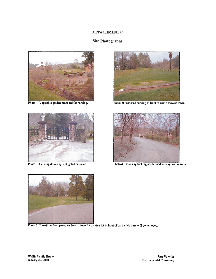#### ATTACHMENT C

#### Site Photographs



Photo 1: Vegetable garden proposed for parking.



Photo 3: Existing driveway with gated entrance.



Photo 2: Proposed parking in front of castle-mowed lawn.



Photo 4: Driveway looking north lined with sycamore trees



Photo 5: Transition from paved surface to lawn for parking lot in front of castle. No trees will be removed.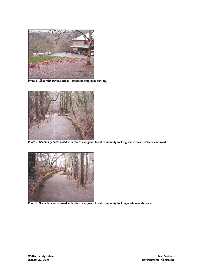

Photo 6: Shed with paved surface – proposed employee parking.



o 7: Secondary access road with mixed evergreen forest community looking south towards Patcheteau Road.



Photo 8: Secondary access road with mixed evergreen forest community looking north towards castle.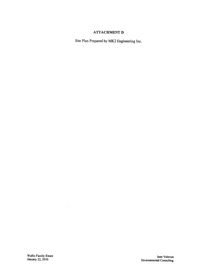#### ATTACHMENT D

Site Plan Prepared by MK2 Engineering Inc.

 $\sim$   $\sim$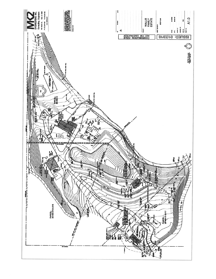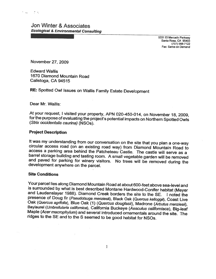Jon Winter & Associates Ecological & Environmental Consulting

> 5331 El Mercado Parkway Santa Rosa, CA 95403 (707) 568-7122 Fax: Same-on Demand

November 27, 2009

Edward Wallis 1670 Diamond Mountain Road Calistoga, CA 94515

RE: Spotted Owl Issues on Wallis Family Estate Development

Dear Mr. Wallis:

At your request, I visited your property, APN 020-450-014, on November 18, 2009, for the purpose of evaluating the project's potential impacts on Northern Spotted Owls (Strix occidentalis caurina) (NSOs).

#### Project Description

It was my understanding from our conversation on the site that you plan a one-way circular access road (on an existing road way) from Diamond Mountain Road to access a parking area behind the Patcheteau Castle. The castle barrel storage building and tasting room. A small vegetable garden will be removed and paved for parking for winery visitors. No trees will be removed during the development anywhere on the parcel.

#### Site Conditions

Your parcel lies along Diamond Mountain Road at about 600-feet above sea-level and<br>is surrounded by what is best described Montane Hardwood-Conifer habitat (Meyer<br>and Laudenslayer 1988). Diamond Creek borders the site to t Oak (Quercus agrifolia), Blue Oak (1) (Quercus douglasii), Madrone (Arbutus menziesii), Baylaurel (Umbrellularia californica), California Buckeye (Aesculus californiaca), Big-leaf Maple (Acer macrophylum) and several intro

濲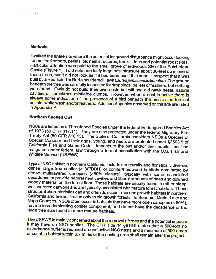#### **Methods**

I walked the entire site where the potential for ground disturbance might occur looking<br>for molted feathers, pellets, old nest structures, tracks, dens and potential roost sites.<br>Particular attention was paid to the small these trees, but it did not look as if it had been used this year. I suspect that it was built by a Red-tailed or Red-shouldered Hawk (Buteo jamaicensis/lineatus). The ground beneath the tree was carefully inspected for droppings, pellets or feathers, but nothing was found. Owls do not build their own nests but will use old hawk nests, natural was found. Owls do not build their own nests but will use old hawk nests, natural<br>cavities or sometimes mistletoe clumps. However, when a nest in active there is always some indication of the presence of a bird beneath the nest in the form of pellets, white wash and/or feathers. Additional species observed on the site are listed in Appendix A

#### Northern Spotted Owl

NS0s are listed as a Threatened Species under the federal Endangered Species Act of 1973 (50 CFR §17.11). They are also protected under the federal Migratory Bird<br>Treaty Act (50 CFR §10.13). The State of California considers NSOs a Species of<br>Special Concern and their eggs, young, and nests are protect California Fish and Game Code. Impacts to the owl and/or their habitat must be mitigated under federal law through a formal consultation with the U.S. Fish and Wildlife Service (USFWS). mitigated under federal law through a formal consultation with the U.S. Fish and

Typical NSO habitat in northern California include structurally and floristically diverse, dense, large tree conifer (> 30"DBH) or conifer/hardwood habitats dominated by dense multilayered canopies (>60% closure), typicall have a less dominating conifer component, and do not have the decadence or the large tree size found in more mature habitats.

The USFWS is mainly concerned about the removal of trees and the potential impacts it may have on NSO habitat. The CFR Title 14 §919.9 states that a 500-foot no disturbance buffer is required around active NSO nests and a minimum of 500-acres of suitable habitat within 0.7 miles of the nesting area shall remain after the project.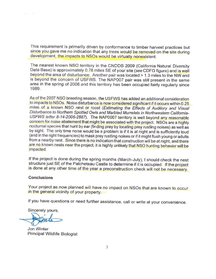This requirement is primarily driven by conformance to timber harvest practices but since you gave me no indication that any trees would be removed on the site during development, the impacts to NSOs would be virtually nonexistent.

The nearest known NSO territory in the CNDDB 2009 (California Natural Diversity Data Base) is approximately 0.78 miles SE of your site (see CDFG figure) and is well beyond the area of disturbance. Another pair was located > 1.3 miles to the NW and is beyond the concern of USFWS. The NAPOO7 pair was still present in the same area in the spring of <sup>2008</sup> and this territory has been occupied fairly regularly since 1989.

As of the 2007 NSO breeding season, the USFWS has added an additional consideration<br>to impacts to NSOs. Noise disturbance is now considered significant if it occurs within 0.25 miles of a known NSO nest or roost (Estimating the Effects of Auditory and Visual<br>Disturbance to Northern Spotted Owls and Marbled Murrelets in Northwestern California-USFWS letter 8-14-2006-2887). The NAP0007 territory is well beyond any reasonable concern for noise abatement that might be associated with the project. NSOs are a highly nocturnal species that hunt by ear (finding prey by locating prey rustling noises) as well as<br>by sight. The only time noise would be a problem is if it is at night and is sufficiently loud<br>(and in the right frequencies) to are no known nests near the project, it is highly unlikely that NSO hunting behavior will be impacted,

If the project is done during the spring months (March-July), I should check the nest structure just SE of the Patcheteau Castle to determine if it is occupied. If the project is done at any other time of the year a preconstruction check will not be necessary.

#### **Conclusions**

 $\begin{array}{ccc} 0 & \left\langle \mathbf{q} \right\rangle & \cdots & \left\langle \mathbf{q} \right\rangle & \mathbf{q} \end{array}$ 

Your project as now <sup>p</sup>lanned will have no impact on NSOs that are known to occur in the general vicinity of your property.

If you have questions or need further assistance, call or write at your convenience.

Sincerely yours,

Jon Winter Principal Wildlife Biologist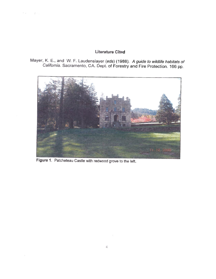#### Literature Cited

Mayer, K. E., and W. F. Laudenslayer (eds) (1988). A guide to wildlife habitats of California. Sacramento, CA. Dept. of Forestry and Fire Protection. <sup>166</sup> pp.



Figure 1. Patcheteau Castle with redwood grove to the left.

 $\epsilon < \epsilon < \epsilon$ 

 $\Xi$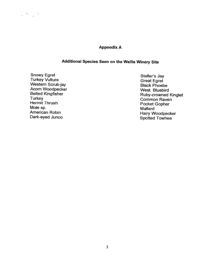#### Appendix A

### Additional Species Seen on the Wallis Winery Site

Snowy Egret<br>Turkey Vulture Steller's Jay Great Egret Steller's Jay<br>Western Scrub-jay Black Phoebe Acorn Woodpecker New York West. Bluebird<br>
Belted Kingfisher New York Ruby-crowned Hermit Thrush Pocket Gopher Pocket Gopher Pocket Gopher Pocket Gopher Pocket Gopher Pocket Gopher National Account of the Mallard Service of the Mallard Service of the Mallard Service of the Mallard Service of the Mallard

 $\frac{1}{2}$  ,  $\frac{1}{2}$ 

Belted Kingfisher Ruby-crowned Kinglet<br>Turkey Common Raven<br>Hermit Thrush Recket Gonher American Robin Hairy Woodpecker Dark-eyed Junco<br>
Dark-eyed Junco Spotted Towhee